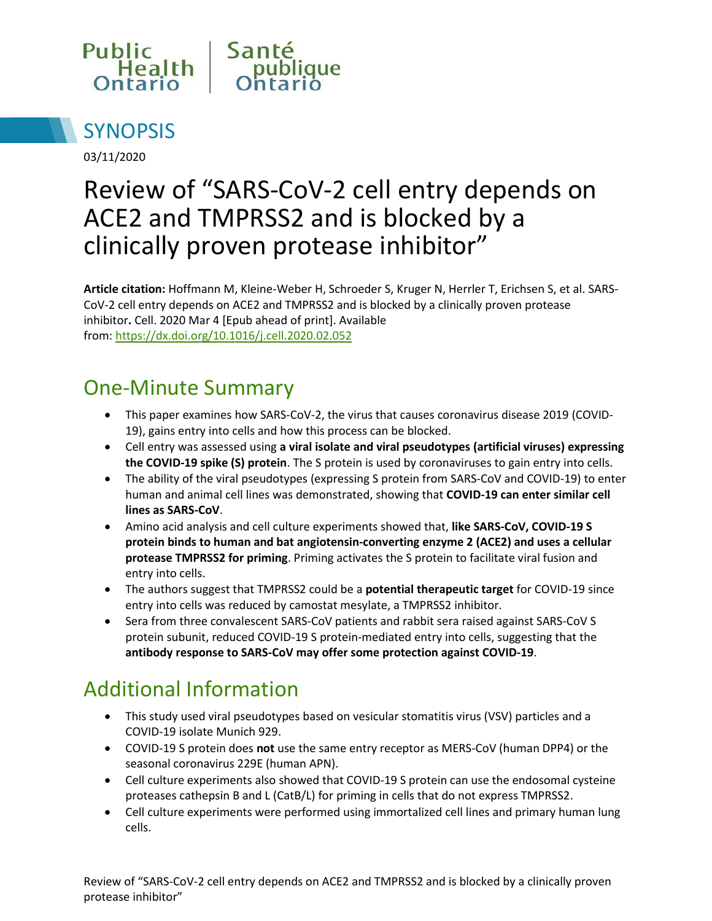



03/11/2020

# Review of "SARS-CoV-2 cell entry depends on ACE2 and TMPRSS2 and is blocked by a clinically proven protease inhibitor"

**Article citation:** Hoffmann M, Kleine-Weber H, Schroeder S, Kruger N, Herrler T, Erichsen S, et al. SARS-CoV-2 cell entry depends on ACE2 and TMPRSS2 and is blocked by a clinically proven protease inhibitor**.** Cell. 2020 Mar 4 [Epub ahead of print]. Available from:<https://dx.doi.org/10.1016/j.cell.2020.02.052>

### One-Minute Summary

- This paper examines how SARS-CoV-2, the virus that causes coronavirus disease 2019 (COVID-19), gains entry into cells and how this process can be blocked.
- Cell entry was assessed using **a viral isolate and viral pseudotypes (artificial viruses) expressing the COVID-19 spike (S) protein**. The S protein is used by coronaviruses to gain entry into cells.
- The ability of the viral pseudotypes (expressing S protein from SARS-CoV and COVID-19) to enter human and animal cell lines was demonstrated, showing that **COVID-19 can enter similar cell lines as SARS-CoV**.
- Amino acid analysis and cell culture experiments showed that, **like SARS-CoV, COVID-19 S protein binds to human and bat angiotensin-converting enzyme 2 (ACE2) and uses a cellular protease TMPRSS2 for priming**. Priming activates the S protein to facilitate viral fusion and entry into cells.
- The authors suggest that TMPRSS2 could be a **potential therapeutic target** for COVID-19 since entry into cells was reduced by camostat mesylate, a TMPRSS2 inhibitor.
- Sera from three convalescent SARS-CoV patients and rabbit sera raised against SARS-CoV S protein subunit, reduced COVID-19 S protein-mediated entry into cells, suggesting that the **antibody response to SARS-CoV may offer some protection against COVID-19**.

# Additional Information

- This study used viral pseudotypes based on vesicular stomatitis virus (VSV) particles and a COVID-19 isolate Munich 929.
- COVID-19 S protein does **not** use the same entry receptor as MERS-CoV (human DPP4) or the seasonal coronavirus 229E (human APN).
- Cell culture experiments also showed that COVID-19 S protein can use the endosomal cysteine proteases cathepsin B and L (CatB/L) for priming in cells that do not express TMPRSS2.
- Cell culture experiments were performed using immortalized cell lines and primary human lung cells.